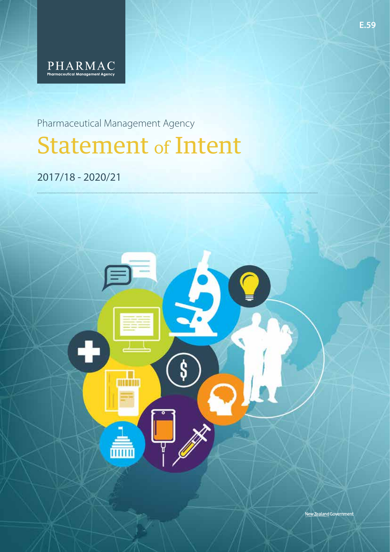

Pharmaceutical Management Agency Statement of Intent

2017/18 - 2020/21



New Zealand Government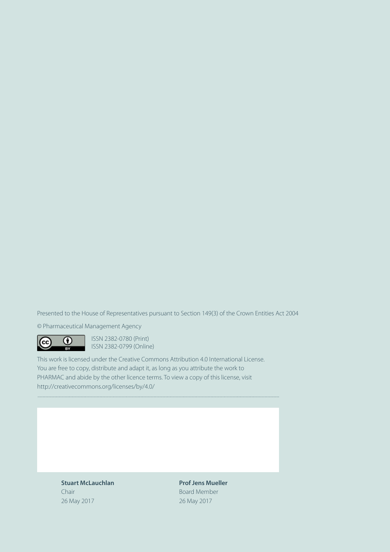Presented to the House of Representatives pursuant to Section 149(3) of the Crown Entities Act 2004

© Pharmaceutical Management Agency

**CO I**SSN 2382-0780 (Print) **ISSN 2382-0799 (Online)** 

This work is licensed under the Creative Commons Attribution 4.0 International License. You are free to copy, distribute and adapt it, as long as you attribute the work to PHARMAC and abide by the other licence terms. To view a copy of this license, visit http://creativecommons.org/licenses/by/4.0/

> **Stuart McLauchlan Prof Jens Mueller** Chair **Board Member** 26 May 2017 26 May 2017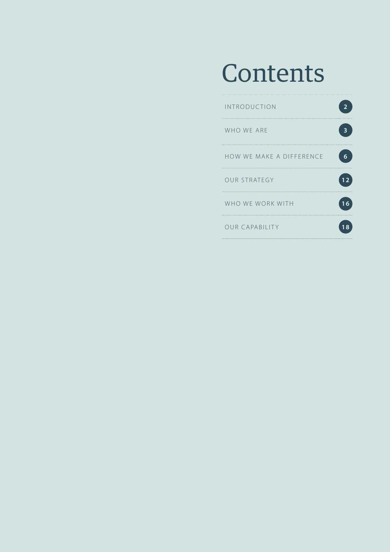# Contents

| INTRODUCTION             |   |
|--------------------------|---|
| WHO WE ARE               |   |
| HOW WE MAKE A DIFFERENCE | 6 |
| <b>OUR STRATEGY</b>      |   |
| WHO WE WORK WITH         |   |
| OUR CAPABILITY           |   |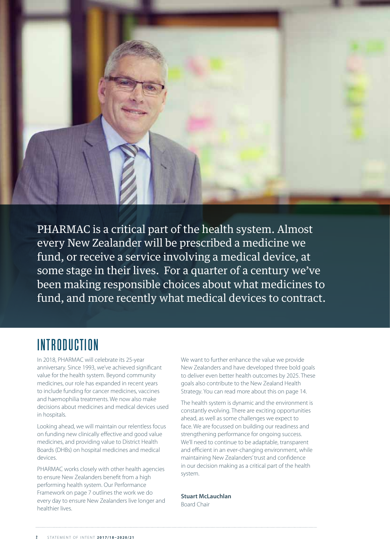

PHARMAC is a critical part of the health system. Almost every New Zealander will be prescribed a medicine we fund, or receive a service involving a medical device, at some stage in their lives. For a quarter of a century we've been making responsible choices about what medicines to fund, and more recently what medical devices to contract.

## **INTRODUCTION**

In 2018, PHARMAC will celebrate its 25-year anniversary. Since 1993, we've achieved significant value for the health system. Beyond community medicines, our role has expanded in recent years to include funding for cancer medicines, vaccines and haemophilia treatments. We now also make decisions about medicines and medical devices used in hospitals.

Looking ahead, we will maintain our relentless focus on funding new clinically effective and good value medicines, and providing value to District Health Boards (DHBs) on hospital medicines and medical devices.

PHARMAC works closely with other health agencies to ensure New Zealanders benefit from a high performing health system. Our Performance Framework on page 7 outlines the work we do every day to ensure New Zealanders live longer and healthier lives.

We want to further enhance the value we provide New Zealanders and have developed three bold goals to deliver even better health outcomes by 2025. These goals also contribute to the New Zealand Health Strategy. You can read more about this on page 14.

The health system is dynamic and the environment is constantly evolving. There are exciting opportunities ahead, as well as some challenges we expect to face. We are focussed on building our readiness and strengthening performance for ongoing success. We'll need to continue to be adaptable, transparent and efficient in an ever-changing environment, while maintaining New Zealanders' trust and confidence in our decision making as a critical part of the health system.

**Stuart McLauchlan**  Board Chair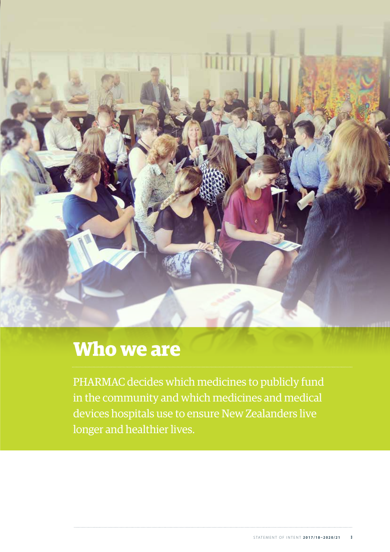

## **Who we are**

PHARMAC decides which medicines to publicly fund in the community and which medicines and medical devices hospitals use to ensure New Zealanders live longer and healthier lives.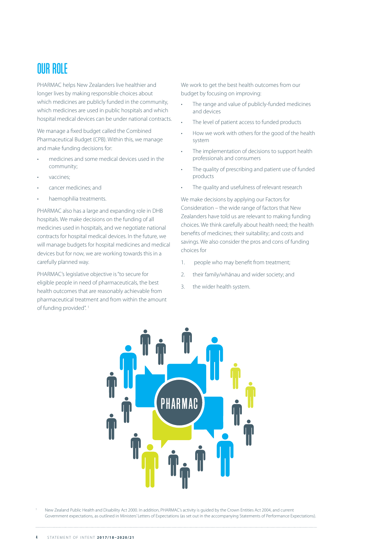### OUR ROLE

PHARMAC helps New Zealanders live healthier and longer lives by making responsible choices about which medicines are publicly funded in the community, which medicines are used in public hospitals and which hospital medical devices can be under national contracts.

We manage a fixed budget called the Combined Pharmaceutical Budget (CPB). Within this, we manage and make funding decisions for:

- medicines and some medical devices used in the community;
- vaccines;
- cancer medicines; and
- haemophilia treatments.

PHARMAC also has a large and expanding role in DHB hospitals. We make decisions on the funding of all medicines used in hospitals, and we negotiate national contracts for hospital medical devices. In the future, we will manage budgets for hospital medicines and medical devices but for now, we are working towards this in a carefully planned way.

PHARMAC's legislative objective is "to secure for eligible people in need of pharmaceuticals, the best health outcomes that are reasonably achievable from pharmaceutical treatment and from within the amount of funding provided".<sup>1</sup>

We work to get the best health outcomes from our budget by focusing on improving:

- The range and value of publicly-funded medicines and devices
- The level of patient access to funded products
- How we work with others for the good of the health system
- The implementation of decisions to support health professionals and consumers
- The quality of prescribing and patient use of funded products
- The quality and usefulness of relevant research

We make decisions by applying our Factors for Consideration – the wide range of factors that New Zealanders have told us are relevant to making funding choices. We think carefully about health need; the health benefits of medicines; their suitability; and costs and savings. We also consider the pros and cons of funding choices for

- 1. people who may benefit from treatment;
- 2. their family/whānau and wider society; and
- 3. the wider health system.



<sup>1</sup> New Zealand Public Health and Disability Act 2000. In addition, PHARMAC's activity is guided by the Crown Entities Act 2004, and current Government expectations, as outlined in Ministers' Letters of Expectations (as set out in the accompanying Statements of Performance Expectations).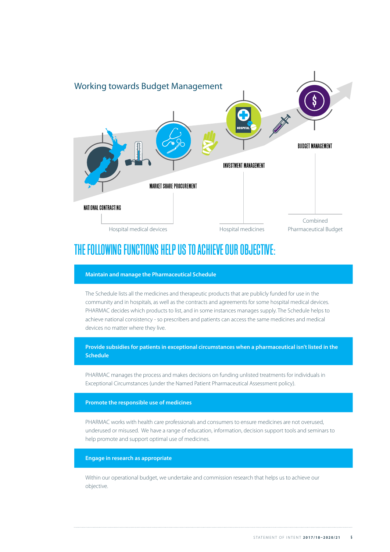

### THE FOLLOWING FUNCTIONS HELP US TO ACHIEVE OUR OBJECTIVE:

#### **Maintain and manage the Pharmaceutical Schedule**

The Schedule lists all the medicines and therapeutic products that are publicly funded for use in the community and in hospitals, as well as the contracts and agreements for some hospital medical devices. PHARMAC decides which products to list, and in some instances manages supply. The Schedule helps to achieve national consistency - so prescribers and patients can access the same medicines and medical devices no matter where they live.

**Provide subsidies for patients in exceptional circumstances when a pharmaceutical isn't listed in the Schedule**

PHARMAC manages the process and makes decisions on funding unlisted treatments for individuals in Exceptional Circumstances (under the Named Patient Pharmaceutical Assessment policy).

#### **Promote the responsible use of medicines**

PHARMAC works with health care professionals and consumers to ensure medicines are not overused, underused or misused. We have a range of education, information, decision support tools and seminars to help promote and support optimal use of medicines.

#### **Engage in research as appropriate**

Within our operational budget, we undertake and commission research that helps us to achieve our objective.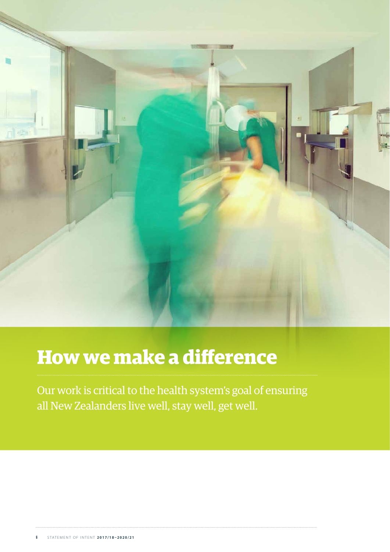

# **How we make a difference**

Our work is critical to the health system's goal of ensuring all New Zealanders live well, stay well, get well.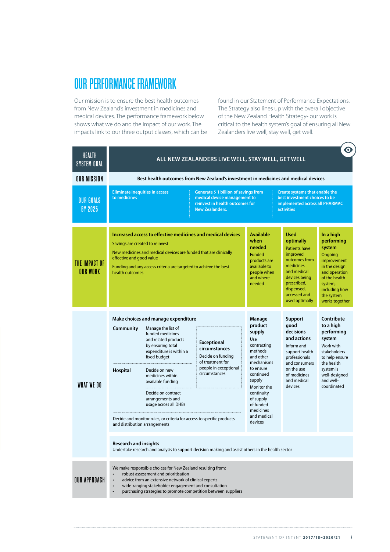### OUR PERFORMANCE FRAMEWORK

Our mission is to ensure the best health outcomes from New Zealand's investment in medicines and medical devices. The performance framework below shows what we do and the impact of our work. The impacts link to our three output classes, which can be found in our Statement of Performance Expectations. The Strategy also lines up with the overall objective of the New Zealand Health Strategy- our work is critical to the health system's goal of ensuring all New Zealanders live well, stay well, get well.

| HEALTH<br><b>SYSTEM GOAL</b>       |                                                                                                                                                                                                                 |                                                                                                                                                                                                                                                                                                                                                                                 | ALL NEW ZEALANDERS LIVE WELL, STAY WELL, GET WELL                                                                      |                                                                                                                                                                                                                           |                                                                                                                                                                                           | $\mathbf{\Theta}$                                                                                                                                                          |
|------------------------------------|-----------------------------------------------------------------------------------------------------------------------------------------------------------------------------------------------------------------|---------------------------------------------------------------------------------------------------------------------------------------------------------------------------------------------------------------------------------------------------------------------------------------------------------------------------------------------------------------------------------|------------------------------------------------------------------------------------------------------------------------|---------------------------------------------------------------------------------------------------------------------------------------------------------------------------------------------------------------------------|-------------------------------------------------------------------------------------------------------------------------------------------------------------------------------------------|----------------------------------------------------------------------------------------------------------------------------------------------------------------------------|
| <b>OUR MISSION</b>                 | Best health outcomes from New Zealand's investment in medicines and medical devices                                                                                                                             |                                                                                                                                                                                                                                                                                                                                                                                 |                                                                                                                        |                                                                                                                                                                                                                           |                                                                                                                                                                                           |                                                                                                                                                                            |
| <b>OUR GOALS</b><br><b>BY 2025</b> | <b>Eliminate inequities in access</b><br>Generate \$1 billion of savings from<br>to medicines<br>medical device management to<br>reinvest in health outcomes for<br><b>New Zealanders.</b><br><b>activities</b> |                                                                                                                                                                                                                                                                                                                                                                                 |                                                                                                                        | <b>Create systems that enable the</b><br>best investment choices to be<br>implemented across all PHARMAC                                                                                                                  |                                                                                                                                                                                           |                                                                                                                                                                            |
| THE IMPACT OF<br><b>OUR WORK</b>   | Savings are created to reinvest<br>effective and good value<br>health outcomes                                                                                                                                  | Increased access to effective medicines and medical devices<br>New medicines and medical devices are funded that are clinically<br>Funding and any access criteria are targeted to achieve the best                                                                                                                                                                             |                                                                                                                        | <b>Available</b><br>when<br>needed<br><b>Funded</b><br>products are<br>available to<br>people when<br>and where<br>needed                                                                                                 | <b>Used</b><br>optimally<br><b>Patients have</b><br>improved<br>outcomes from<br>medicines<br>and medical<br>devices being<br>prescribed,<br>dispensed,<br>accessed and<br>used optimally | In a high<br>performing<br>system<br>Ongoing<br>improvement<br>in the design<br>and operation<br>of the health<br>system,<br>including how<br>the system<br>works together |
| WHAT WE DO                         | Community<br><b>Hospital</b><br>and distribution arrangements                                                                                                                                                   | Make choices and manage expenditure<br>Manage the list of<br>funded medicines<br>and related products<br>by ensuring total<br>expenditure is within a<br>fixed budget<br>Decide on new<br>medicines within<br>available funding<br><br>Decide on contract<br>arrangements and<br>usage across all DHBs<br>Decide and monitor rules, or criteria for access to specific products | <b>Exceptional</b><br>circumstances<br>Decide on funding<br>of treatment for<br>people in exceptional<br>circumstances | Manage<br>product<br>supply<br>Use<br>contracting<br>methods<br>and other<br>mechanisms<br>to ensure<br>continued<br>supply<br>Monitor the<br>continuity<br>of supply<br>of funded<br>medicines<br>and medical<br>devices | Support<br>qood<br>decisions<br>and actions<br>Inform and<br>support health<br>professionals<br>and consumers<br>on the use<br>of medicines<br>and medical<br>devices                     | Contribute<br>to a high<br>performing<br>system<br>Work with<br>stakeholders<br>to help ensure<br>the health<br>system is<br>well-designed<br>and well-<br>coordinated     |
|                                    | <b>Research and insights</b>                                                                                                                                                                                    |                                                                                                                                                                                                                                                                                                                                                                                 | Undertake research and analysis to support decision making and assist others in the health sector                      |                                                                                                                                                                                                                           |                                                                                                                                                                                           |                                                                                                                                                                            |
| <b>OUR APPROACH</b>                | $\bullet$<br>$\bullet$<br>$\bullet$                                                                                                                                                                             | We make responsible choices for New Zealand resulting from:<br>robust assessment and prioritisation<br>advice from an extensive network of clinical experts<br>wide-ranging stakeholder engagement and consultation<br>purchasing strategies to promote competition between suppliers                                                                                           |                                                                                                                        |                                                                                                                                                                                                                           |                                                                                                                                                                                           |                                                                                                                                                                            |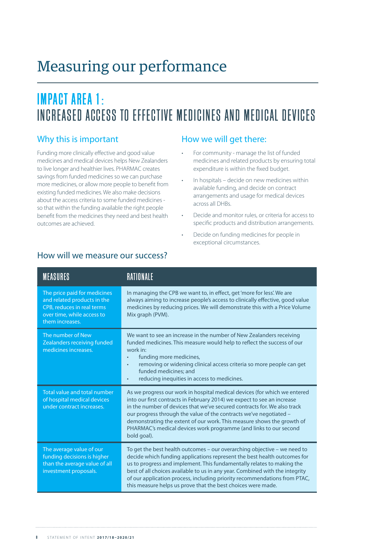## Measuring our performance

## **IMPACT AREA 1:** INCREASED ACCESS TO EFFECTIVE MEDICINES AND MEDICAL DEVICES

#### Why this is important

Funding more clinically effective and good value medicines and medical devices helps New Zealanders to live longer and healthier lives. PHARMAC creates savings from funded medicines so we can purchase more medicines, or allow more people to benefit from existing funded medicines. We also make decisions about the access criteria to some funded medicines so that within the funding available the right people benefit from the medicines they need and best health outcomes are achieved.

#### How we will get there:

- For community manage the list of funded medicines and related products by ensuring total expenditure is within the fixed budget.
- In hospitals decide on new medicines within available funding, and decide on contract arrangements and usage for medical devices across all DHBs.
- Decide and monitor rules, or criteria for access to specific products and distribution arrangements.
- Decide on funding medicines for people in exceptional circumstances.

| <b>MEASURES</b>                                                                                                                            | RATIONALE                                                                                                                                                                                                                                                                                                                                                                                                                                                            |
|--------------------------------------------------------------------------------------------------------------------------------------------|----------------------------------------------------------------------------------------------------------------------------------------------------------------------------------------------------------------------------------------------------------------------------------------------------------------------------------------------------------------------------------------------------------------------------------------------------------------------|
| The price paid for medicines<br>and related products in the<br>CPB, reduces in real terms<br>over time, while access to<br>them increases. | In managing the CPB we want to, in effect, get 'more for less'. We are<br>always aiming to increase people's access to clinically effective, good value<br>medicines by reducing prices. We will demonstrate this with a Price Volume<br>Mix graph (PVM).                                                                                                                                                                                                            |
| The number of New<br>Zealanders receiving funded<br>medicines increases.                                                                   | We want to see an increase in the number of New Zealanders receiving<br>funded medicines. This measure would help to reflect the success of our<br>work in:<br>funding more medicines,<br>$\bullet$<br>removing or widening clinical access criteria so more people can get<br>$\bullet$<br>funded medicines: and<br>reducing inequities in access to medicines.<br>$\bullet$                                                                                        |
| Total value and total number<br>of hospital medical devices<br>under contract increases.                                                   | As we progress our work in hospital medical devices (for which we entered<br>into our first contracts in February 2014) we expect to see an increase<br>in the number of devices that we've secured contracts for. We also track<br>our progress through the value of the contracts we've negotiated -<br>demonstrating the extent of our work. This measure shows the growth of<br>PHARMAC's medical devices work programme (and links to our second<br>bold goal). |
| The average value of our<br>funding decisions is higher<br>than the average value of all<br>investment proposals.                          | To get the best health outcomes - our overarching objective - we need to<br>decide which funding applications represent the best health outcomes for<br>us to progress and implement. This fundamentally relates to making the<br>best of all choices available to us in any year. Combined with the integrity<br>of our application process, including priority recommendations from PTAC,<br>this measure helps us prove that the best choices were made.          |

#### How will we measure our success?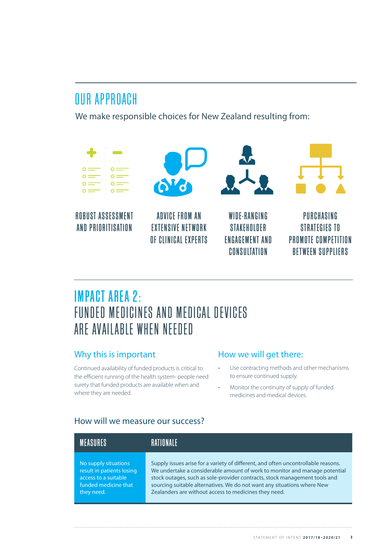### OUR APPROACH

We make responsible choices for New Zealand resulting from:



ROBUST ASSESSMENT AND PRIORITISATION



ADVICE FROM AN EXTENSIVE NETWORK OF CLINICAL EXPERTS



WINE-RANGING **STAKEHOLDER ENGAGEMENT AND CONSULTATION** 



PURCHASING STRATEGIES TO PROMOTE COMPETITION BETWEEN SUPPLIERS

### **IMPACT AREA 2:** FUNDED MEDICINES AND MEDICAL DEVICES ARE AVAILABLE WHEN NEEDED

### Why this is important

Continued availability of funded products is critical to the efficient running of the health system- people need surety that funded products are available when and where they are needed.

### How we will get there:

- Use contracting methods and other mechanisms to ensure continued supply.
- Monitor the continuity of supply of funded medicines and medical devices.

### How will we measure our success?

| IMFASIIRFS                | <b>RATIONALE</b>                                                                  |
|---------------------------|-----------------------------------------------------------------------------------|
| No supply situations      | Supply issues arise for a variety of different, and often uncontrollable reasons. |
| result in patients losing | We undertake a considerable amount of work to monitor and manage potential        |
| access to a suitable      | stock outages, such as sole-provider contracts, stock management tools and        |
| funded medicine that      | sourcing suitable alternatives. We do not want any situations where New           |
| they need.                | Zealanders are without access to medicines they need.                             |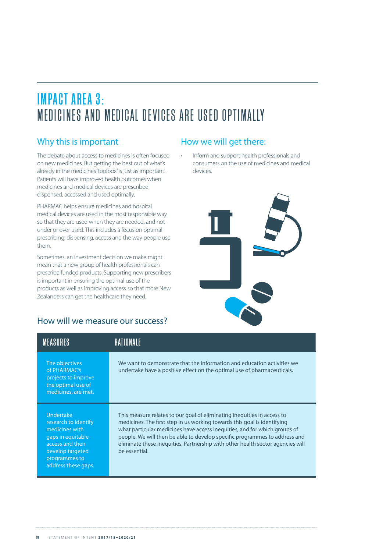### **IMPACT AREA 3:** MEDICINES AND MEDICAL DEVICES ARE USED OPTIMALLY

### Why this is important

The debate about access to medicines is often focused on new medicines. But getting the best out of what's already in the medicines 'toolbox' is just as important. Patients will have improved health outcomes when medicines and medical devices are prescribed, dispensed, accessed and used optimally.

PHARMAC helps ensure medicines and hospital medical devices are used in the most responsible way so that they are used when they are needed, and not under or over used. This includes a focus on optimal prescribing, dispensing, access and the way people use them.

Sometimes, an investment decision we make might mean that a new group of health professionals can prescribe funded products. Supporting new prescribers is important in ensuring the optimal use of the products as well as improving access so that more New Zealanders can get the healthcare they need.

### How will we measure our success?

### How we will get there:

• Inform and support health professionals and consumers on the use of medicines and medical devices.



| <b>MFASURFS</b>                                                                                                                                                |                                                                                                                                                                                                                                                                                                                                                                                                                   |
|----------------------------------------------------------------------------------------------------------------------------------------------------------------|-------------------------------------------------------------------------------------------------------------------------------------------------------------------------------------------------------------------------------------------------------------------------------------------------------------------------------------------------------------------------------------------------------------------|
| The objectives<br>of PHARMAC's<br>projects to improve<br>the optimal use of<br>medicines, are met.                                                             | We want to demonstrate that the information and education activities we<br>undertake have a positive effect on the optimal use of pharmaceuticals.                                                                                                                                                                                                                                                                |
| <b>Undertake</b><br>research to identify<br>medicines with<br>gaps in equitable<br>access and then<br>develop targeted<br>programmes to<br>address these gaps. | This measure relates to our goal of eliminating inequities in access to<br>medicines. The first step in us working towards this goal is identifying<br>what particular medicines have access inequities, and for which groups of<br>people. We will then be able to develop specific programmes to address and<br>eliminate these inequities. Partnership with other health sector agencies will<br>be essential. |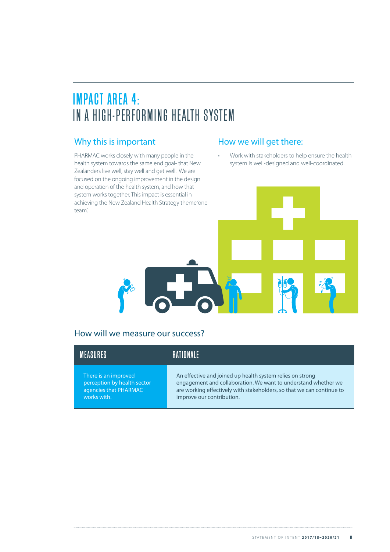### **IMPACT AREA 4:** IN A HIGH-PERFORMING HEALTH SYSTEM

### Why this is important

PHARMAC works closely with many people in the health system towards the same end goal- that New Zealanders live well, stay well and get well. We are focused on the ongoing improvement in the design and operation of the health system, and how that system works together. This impact is essential in achieving the New Zealand Health Strategy theme 'one team'.

#### How we will get there:

• Work with stakeholders to help ensure the health system is well-designed and well-coordinated.



#### How will we measure our success?

| MFASIIRFS                   | <b>RATIONALE</b>                                                      |
|-----------------------------|-----------------------------------------------------------------------|
| There is an improved        | An effective and joined up health system relies on strong             |
| perception by health sector | engagement and collaboration. We want to understand whether we        |
| agencies that PHARMAC       | are working effectively with stakeholders, so that we can continue to |
| works with.                 | improve our contribution.                                             |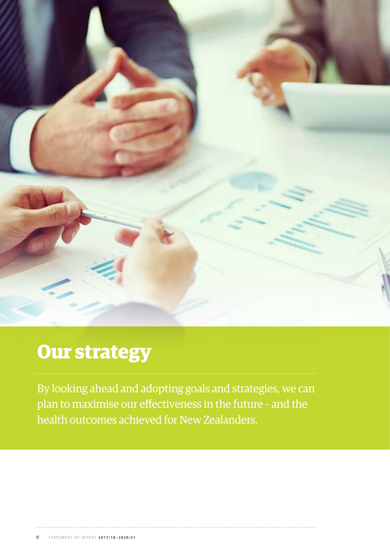

## **Our strategy**

By looking ahead and adopting goals and strategies, we can plan to maximise our effectiveness in the future – and the health outcomes achieved for New Zealanders.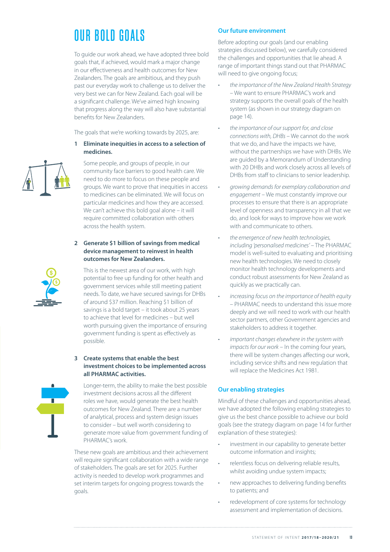## OUR BOLD GOALS

To guide our work ahead, we have adopted three bold goals that, if achieved, would mark a major change in our effectiveness and health outcomes for New Zealanders. The goals are ambitious, and they push past our everyday work to challenge us to deliver the very best we can for New Zealand. Each goal will be a significant challenge. We've aimed high knowing that progress along the way will also have substantial benefits for New Zealanders.

The goals that we're working towards by 2025, are:

**1 Eliminate inequities in access to a selection of medicines.**

Some people, and groups of people, in our community face barriers to good health care. We need to do more to focus on these people and groups. We want to prove that inequities in access to medicines can be eliminated. We will focus on particular medicines and how they are accessed. We can't achieve this bold goal alone – it will require committed collaboration with others across the health system.

#### **2 Generate \$1 billion of savings from medical device management to reinvest in health outcomes for New Zealanders.**

This is the newest area of our work, with high potential to free up funding for other health and government services while still meeting patient needs. To date, we have secured savings for DHBs of around \$37 million. Reaching \$1 billion of savings is a bold target – it took about 25 years to achieve that level for medicines – but well worth pursuing given the importance of ensuring government funding is spent as effectively as possible.

#### **3 Create systems that enable the best investment choices to be implemented across all PHARMAC activities.**

Longer-term, the ability to make the best possible investment decisions across all the different roles we have, would generate the best health outcomes for New Zealand. There are a number of analytical, process and system design issues to consider – but well worth considering to generate more value from government funding of PHARMAC's work.

These new goals are ambitious and their achievement will require significant collaboration with a wide range of stakeholders. The goals are set for 2025. Further activity is needed to develop work programmes and set interim targets for ongoing progress towards the goals.

#### **Our future environment**

Before adopting our goals (and our enabling strategies discussed below), we carefully considered the challenges and opportunities that lie ahead. A range of important things stand out that PHARMAC will need to give ongoing focus;

- *• the importance of the New Zealand Health Strategy* – We want to ensure PHARMAC's work and strategy supports the overall goals of the health system (as shown in our strategy diagram on page 14).
- *• the importance of our support for, and close connections with, DHBs* – We cannot do the work that we do, and have the impacts we have, without the partnerships we have with DHBs. We are guided by a Memorandum of Understanding with 20 DHBs and work closely across all levels of DHBs from staff to clinicians to senior leadership.
- *• growing demands for exemplary collaboration and engagement* – We must constantly improve our processes to ensure that there is an appropriate level of openness and transparency in all that we do, and look for ways to improve how we work with and communicate to others.
- *• the emergence of new health technologies, including 'personalised medicines'* – The PHARMAC model is well-suited to evaluating and prioritising new health technologies. We need to closely monitor health technology developments and conduct robust assessments for New Zealand as quickly as we practically can.
- *• increasing focus on the importance of health equity*  – PHARMAC needs to understand this issue more deeply and we will need to work with our health sector partners, other Government agencies and stakeholders to address it together.
- *• important changes elsewhere in the system with impacts for our work* – In the coming four years, there will be system changes affecting our work, including service shifts and new regulation that will replace the Medicines Act 1981.

#### **Our enabling strategies**

Mindful of these challenges and opportunities ahead, we have adopted the following enabling strategies to give us the best chance possible to achieve our bold goals (see the strategy diagram on page 14 for further explanation of these strategies):

- investment in our capability to generate better outcome information and insights;
- relentless focus on delivering reliable results, whilst avoiding undue system impacts;
- new approaches to delivering funding benefits to patients; and
- redevelopment of core systems for technology assessment and implementation of decisions.

![](_page_14_Picture_24.jpeg)

![](_page_14_Picture_25.jpeg)

![](_page_14_Picture_26.jpeg)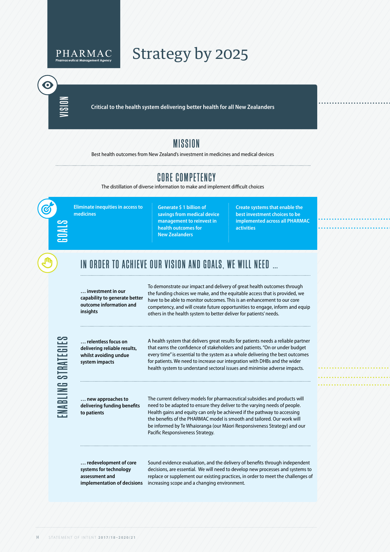![](_page_15_Picture_0.jpeg)

**Critical to the health system delivering better health for all New Zealanders**

### MISSION

CORE COMPETENCY

Best health outcomes from New Zealand's investment in medicines and medical devices

#### IN ORDER TO ACHIEVE OUR VISION AND GOALS, WE WILL NEED … **… investment in our capability to generate better outcome information and insights … relentless focus on delivering reliable results, whilst avoiding undue system impacts … new approaches to delivering funding benefits to patients … redevelopment of core systems for technology assessment and**  implementation of decisions increasing scope and a changing environment. To demonstrate our impact and delivery of great health outcomes through the funding choices we make, and the equitable access that is provided, we have to be able to monitor outcomes. This is an enhancement to our core competency, and will create future opportunities to engage, inform and equip others in the health system to better deliver for patients' needs. A health system that delivers great results for patients needs a reliable partner that earns the confidence of stakeholders and patients. "On or under budget every time" is essential to the system as a whole delivering the best outcomes for patients. We need to increase our integration with DHBs and the wider health system to understand sectoral issues and minimise adverse impacts. The current delivery models for pharmaceutical subsidies and products will need to be adapted to ensure they deliver to the varying needs of people. Health gains and equity can only be achieved if the pathway to accessing the benefits of the PHARMAC model is smooth and tailored. Our work will be informed by Te Whaioranga (our Māori Responsiveness Strategy) and our Pacific Responsiveness Strategy. Sound evidence evaluation, and the delivery of benefits through independent decisions, are essential. We will need to develop new processes and systems to replace or supplement our existing practices, in order to meet the challenges of **Generate \$ 1 billion of savings from medical device management to reinvest in health outcomes for New Zealanders Create systems that enable the best investment choices to be implemented across all PHARMAC activities Eliminate inequities in access to medicines** The distillation of diverse information to make and implement difficult choices

**14** STATEMENT OF INTENT **2017/18–2020/21**

ENABLING STRATEGIES

ABLING STRATEGIES

GOALS

VISION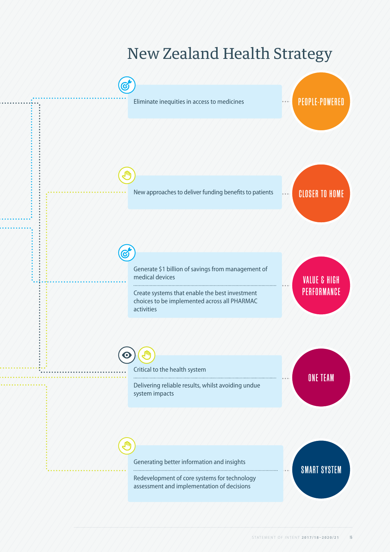## New Zealand Health Strategy

![](_page_16_Figure_1.jpeg)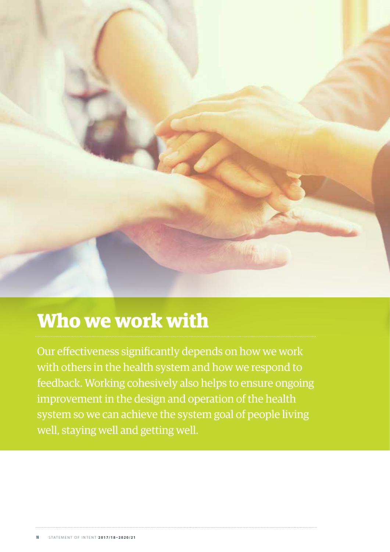![](_page_17_Picture_0.jpeg)

## **Who we work with**

Our effectiveness significantly depends on how we work with others in the health system and how we respond to feedback. Working cohesively also helps to ensure ongoing improvement in the design and operation of the health system so we can achieve the system goal of people living well, staying well and getting well.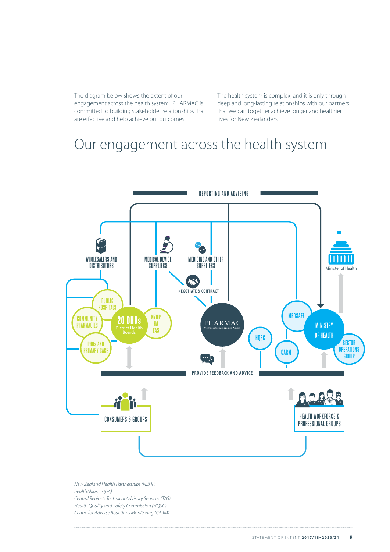The diagram below shows the extent of our engagement across the health system. PHARMAC is committed to building stakeholder relationships that are effective and help achieve our outcomes.

The health system is complex, and it is only through deep and long-lasting relationships with our partners that we can together achieve longer and healthier lives for New Zealanders.

### Our engagement across the health system

![](_page_18_Figure_3.jpeg)

*New Zealand Health Partnerships (NZHP) healthAlliance (hA) Central Region's Technical Advisory Services (TAS) Health Quality and Safety Commission (HQSC) Centre for Adverse Reactions Monitoring (CARM)*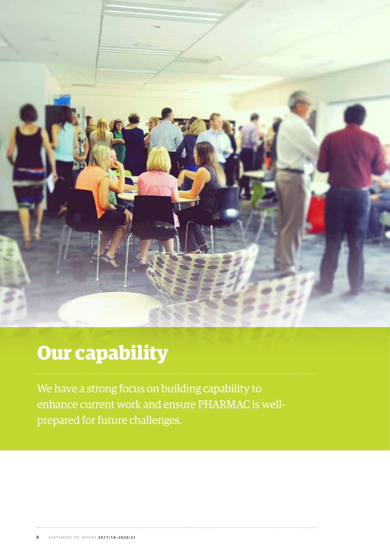![](_page_19_Picture_0.jpeg)

# **Our capability**

We have a strong focus on building capability to enhance current work and ensure PHARMAC is wellprepared for future challenges.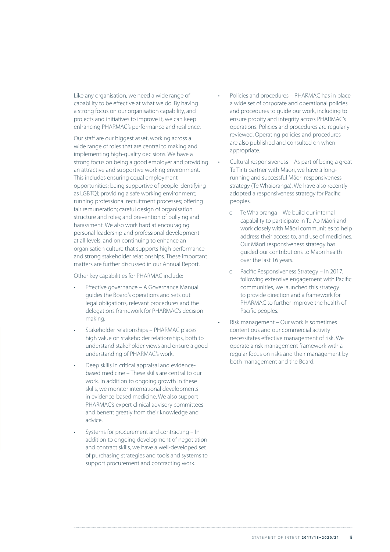Like any organisation, we need a wide range of capability to be effective at what we do. By having a strong focus on our organisation capability, and projects and initiatives to improve it, we can keep enhancing PHARMAC's performance and resilience.

Our staff are our biggest asset, working across a wide range of roles that are central to making and implementing high-quality decisions. We have a strong focus on being a good employer and providing an attractive and supportive working environment. This includes ensuring equal employment opportunities; being supportive of people identifying as LGBTQI; providing a safe working environment; running professional recruitment processes; offering fair remuneration; careful design of organisation structure and roles; and prevention of bullying and harassment. We also work hard at encouraging personal leadership and professional development at all levels, and on continuing to enhance an organisation culture that supports high performance and strong stakeholder relationships. These important matters are further discussed in our Annual Report.

Other key capabilities for PHARMAC include:

- Effective governance A Governance Manual guides the Board's operations and sets out legal obligations, relevant procedures and the delegations framework for PHARMAC's decision making.
- Stakeholder relationships PHARMAC places high value on stakeholder relationships, both to understand stakeholder views and ensure a good understanding of PHARMAC's work.
- Deep skills in critical appraisal and evidencebased medicine – These skills are central to our work. In addition to ongoing growth in these skills, we monitor international developments in evidence-based medicine. We also support PHARMAC's expert clinical advisory committees and benefit greatly from their knowledge and advice.
- Systems for procurement and contracting In addition to ongoing development of negotiation and contract skills, we have a well-developed set of purchasing strategies and tools and systems to support procurement and contracting work.
- Policies and procedures PHARMAC has in place a wide set of corporate and operational policies and procedures to guide our work, including to ensure probity and integrity across PHARMAC's operations. Policies and procedures are regularly reviewed. Operating policies and procedures are also published and consulted on when appropriate.
- Cultural responsiveness As part of being a great Te Tiriti partner with Māori, we have a longrunning and successful Māori responsiveness strategy (Te Whaioranga). We have also recently adopted a responsiveness strategy for Pacific peoples.
	- o Te Whaioranga We build our internal capability to participate in Te Ao Māori and work closely with Māori communities to help address their access to, and use of medicines. Our Māori responsiveness strategy has guided our contributions to Māori health over the last 16 years.
	- o Pacific Responsiveness Strategy In 2017, following extensive engagement with Pacific communities, we launched this strategy to provide direction and a framework for PHARMAC to further improve the health of Pacific peoples.
- Risk management Our work is sometimes contentious and our commercial activity necessitates effective management of risk. We operate a risk management framework with a regular focus on risks and their management by both management and the Board.